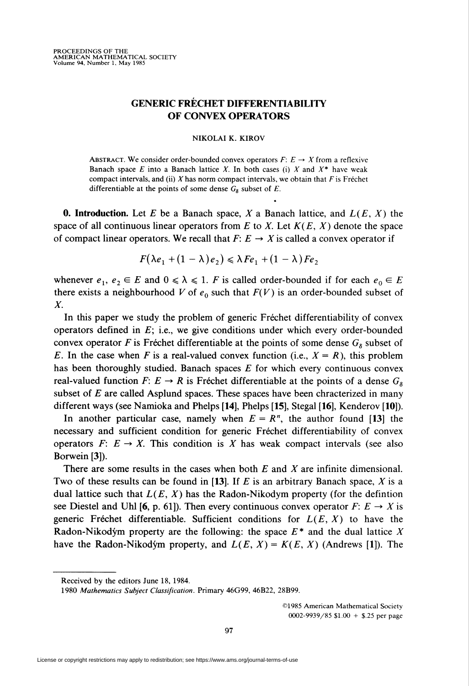## GENERIC FRÉCHET DIFFERENTIABILITY OF CONVEX OPERATORS

## NIKOLAI K. KIROV

ABSTRACT. We consider order-bounded convex operators  $F: E \to X$  from a reflexive Banach space E into a Banach lattice X. In both cases (i) X and  $X^*$  have weak compact intervals, and (ii)  $X$  has norm compact intervals, we obtain that  $F$  is Fréchet differentiable at the points of some dense  $G_8$  subset of E.

**0. Introduction.** Let E be a Banach space, X a Banach lattice, and  $L(E, X)$  the space of all continuous linear operators from E to X. Let  $K(E, X)$  denote the space of compact linear operators. We recall that  $F: E \to X$  is called a convex operator if

$$
F(\lambda e_1 + (1 - \lambda) e_2) \leq \lambda F e_1 + (1 - \lambda) F e_2
$$

whenever  $e_1, e_2 \in E$  and  $0 \le \lambda \le 1$ . F is called order-bounded if for each  $e_0 \in E$ there exists a neighbourhood V of  $e_0$  such that  $F(V)$  is an order-bounded subset of X.

In this paper we study the problem of generic Fréchet differentiability of convex operators defined in  $E$ ; i.e., we give conditions under which every order-bounded convex operator F is Fréchet differentiable at the points of some dense  $G_8$  subset of E. In the case when F is a real-valued convex function (i.e.,  $X = R$ ), this problem has been thoroughly studied. Banach spaces  $E$  for which every continuous convex real-valued function  $F: E \to R$  is Fréchet differentiable at the points of a dense  $G_{\delta}$ subset of  $E$  are called Asplund spaces. These spaces have been chracterized in many different ways (see Namioka and Phelps [14], Phelps [15], Stegal [16], Kenderov [10]).

In another particular case, namely when  $E = R<sup>n</sup>$ , the author found [13] the necessary and sufficient condition for generic Fréchet differentiability of convex operators  $F: E \to X$ . This condition is X has weak compact intervals (see also Borwein [3]).

There are some results in the cases when both  $E$  and  $X$  are infinite dimensional. Two of these results can be found in [13]. If  $E$  is an arbitrary Banach space,  $X$  is a dual lattice such that  $L(E, X)$  has the Radon-Nikodym property (for the defintion see Diestel and Uhl [6, p. 61]). Then every continuous convex operator  $F: E \to X$  is generic Fréchet differentiable. Sufficient conditions for  $L(E, X)$  to have the Radon-Nikodym property are the following: the space  $E^*$  and the dual lattice X have the Radon-Nikodym property, and  $L(E, X) = K(E, X)$  (Andrews [1]). The

-

©1985 American Mathematical Society 0002-9939/85 \$1.00 + \$.25 per page

Received by the editors lune 18, 1984.

<sup>1980</sup> Mathematics Subject Classification. Primary 46G99, 46B22, 28B99.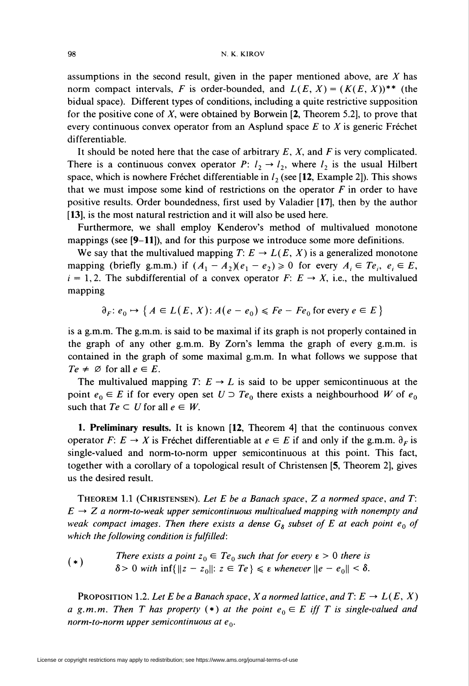assumptions in the second result, given in the paper mentioned above, are  $X$  has norm compact intervals, F is order-bounded, and  $L(E, X) = (K(E, X))^{**}$  (the bidual space). Different types of conditions, including a quite restrictive supposition for the positive cone of  $X$ , were obtained by Borwein  $[2,$  Theorem 5.2], to prove that every continuous convex operator from an Asplund space  $E$  to  $X$  is generic Fréchet differentiable.

It should be noted here that the case of arbitrary  $E$ ,  $X$ , and  $F$  is very complicated. There is a continuous convex operator P:  $l_2 \rightarrow l_2$ , where  $l_2$  is the usual Hilbert space, which is nowhere Fréchet differentiable in  $l_2$  (see [12, Example 2]). This shows that we must impose some kind of restrictions on the operator  $F$  in order to have positive results. Order boundedness, first used by Valadier [17], then by the author [13], is the most natural restriction and it will also be used here.

Furthermore, we shall employ Kenderov's method of multivalued monotone mappings (see [9-11]), and for this purpose we introduce some more definitions.

We say that the multivalued mapping  $T: E \to L(E, X)$  is a generalized monotone mapping (briefly g.m.m.) if  $(A_1 - A_2)(e_1 - e_2) \ge 0$  for every  $A_i \in Te_i$ ,  $e_i \in E$ ,  $i = 1, 2$ . The subdifferential of a convex operator  $F: E \rightarrow X$ , i.e., the multivalued mapping

 $\partial_F$ :  $e_0 \rightarrow \{ A \in L(E, X): A(e - e_0) \leq F_e - F_{e_0}$  for every  $e \in E \}$ 

is a g.m.m. The g.m.m. is said to be maximal if its graph is not properly contained in the graph of any other g.m.m. By Zorn's lemma the graph of every g.m.m. is contained in the graph of some maximal g.m.m. In what follows we suppose that  $Te \neq \emptyset$  for all  $e \in E$ .

The multivalued mapping T:  $E \rightarrow L$  is said to be upper semicontinuous at the point  $e_0 \in E$  if for every open set  $U \supset T e_0$  there exists a neighbourhood W of  $e_0$ such that  $Te \subset U$  for all  $e \in W$ .

1. Preliminary results. It is known [12, Theorem 4] that the continuous convex operator F:  $E \to X$  is Fréchet differentiable at  $e \in E$  if and only if the g.m.m.  $\partial_F$  is single-valued and norm-to-norm upper semicontinuous at this point. This fact, together with a corollary of a topological result of Christensen [5, Theorem 2], gives us the desired result.

THEOREM 1.1 (CHRISTENSEN). Let E be a Banach space, Z a normed space, and  $T$ :  $E \rightarrow Z$  a norm-to-weak upper semicontinuous multivalued mapping with nonempty and weak compact images. Then there exists a dense  $G_8$  subset of E at each point  $e_0$  of which the following condition is fulfilled:

(\*) There exists a point 
$$
z_0 \in Te_0
$$
 such that for every  $\varepsilon > 0$  there is  
\n $\delta > 0$  with inf $\{\|z - z_0\| : z \in Te\} \le \varepsilon$  whenever  $\|e - e_0\| < \delta$ .

**PROPOSITION 1.2. Let E be a Banach space, X a normed lattice, and T: E**  $\rightarrow$  **L(E, X)** a g.m.m. Then T has property (\*) at the point  $e_0 \in E$  iff T is single-valued and norm-to-norm upper semicontinuous at  $e_0$ .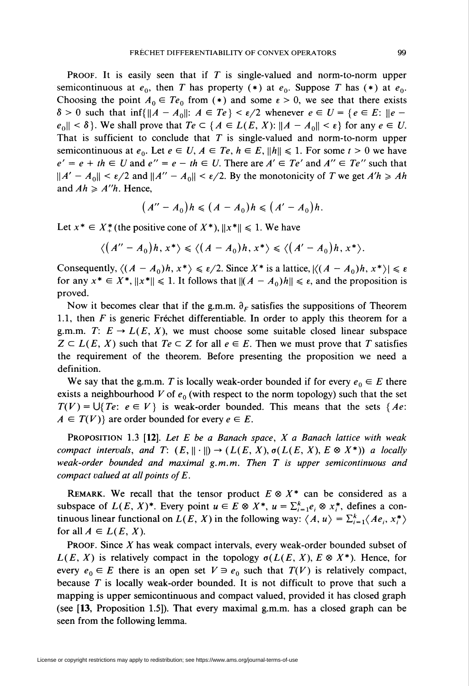**PROOF.** It is easily seen that if  $T$  is single-valued and norm-to-norm upper semicontinuous at  $e_0$ , then T has property (\*) at  $e_0$ . Suppose T has (\*) at  $e_0$ . Choosing the point  $A_0 \in Te_0$  from (\*) and some  $\varepsilon > 0$ , we see that there exists  $\delta > 0$  such that inf{ $||A - A_0||: A \in Te$ }  $\lt \varepsilon/2$  whenever  $e \in U = \{e \in E: ||e$  $e_0\$  < \delta. We shall prove that  $Te \subset {A \in L(E, X): \|A - A_0\| < \varepsilon}$  for any  $e \in U$ . That is sufficient to conclude that  $T$  is single-valued and norm-to-norm upper semicontinuous at  $e_0$ . Let  $e \in U$ ,  $A \in Te$ ,  $h \in E$ ,  $\|h\| \leq 1$ . For some  $t > 0$  we have  $e' = e + th \in U$  and  $e'' = e - th \in U$ . There are  $A' \in Te'$  and  $A'' \in Te''$  such that  $\|A' - A_0\| < \varepsilon/2$  and  $\|A'' - A_0\| < \varepsilon/2$ . By the monotonicity of T we get  $A'h \ge Ah$ and  $Ah \geq A''h$ . Hence,

$$
(A''-A_0)h\leqslant (A-A_0)h\leqslant (A'-A_0)h.
$$

Let  $x^* \in X^*$  (the positive cone of  $X^*$ ),  $||x^*|| \le 1$ . We have

$$
\langle (A''-A_0)h, x^* \rangle \leq \langle (A-A_0)h, x^* \rangle \leq \langle (A'-A_0)h, x^* \rangle.
$$

Consequently,  $\langle (A - A_0)h, x^* \rangle \le \varepsilon/2$ . Since X\* is a lattice,  $|\langle (A - A_0)h, x^* \rangle| \le \varepsilon$ for any  $x^* \in X^*$ ,  $||x^*|| \le 1$ . It follows that  $\|(A - A_0)h\| \le \epsilon$ , and the proposition is proved.

Now it becomes clear that if the g.m.m.  $\partial_F$  satisfies the suppositions of Theorem 1.1, then F is generic Fréchet differentiable. In order to apply this theorem for a g.m.m. T:  $E \to L(E, X)$ , we must choose some suitable closed linear subspace  $Z \subset L(E, X)$  such that  $Te \subset Z$  for all  $e \in E$ . Then we must prove that T satisfies the requirement of the theorem. Before presenting the proposition we need a definition.

We say that the g.m.m. T is locally weak-order bounded if for every  $e_0 \in E$  there exists a neighbourhood V of  $e_0$  (with respect to the norm topology) such that the set  $T(V) = \bigcup \{Te: e \in V\}$  is weak-order bounded. This means that the sets {Ae:  $A \in T(V)$  are order bounded for every  $e \in E$ .

**PROPOSITION 1.3 [12].** Let E be a Banach space,  $X$  a Banach lattice with weak compact intervals, and  $T: (E, \|\cdot\|) \to (L(E, X), \sigma(L(E, X), E \otimes X^*))$  a locally weak-order bounded and maximal  $g, m, m$ . Then  $T$  is upper semicontinuous and compact valued at all points of  $E$ .

REMARK. We recall that the tensor product  $E \otimes X^*$  can be considered as a subspace of  $L(E, X)^*$ . Every point  $u \in E \otimes X^*$ ,  $u = \sum_{i=1}^k e_i \otimes x_i^*$ , defines a continuous linear functional on  $L(E, X)$  in the following way:  $\langle A, u \rangle = \sum_{i=1}^{k} \langle Ae_i, x_i^* \rangle$ for all  $A \in L(E, X)$ .

**PROOF.** Since  $X$  has weak compact intervals, every weak-order bounded subset of  $L(E, X)$  is relatively compact in the topology  $\sigma(L(E, X), E \otimes X^*)$ . Hence, for every  $e_0 \in E$  there is an open set  $V \ni e_0$  such that  $T(V)$  is relatively compact, because T is locally weak-order bounded. It is not difficult to prove that such a mapping is upper semicontinuous and compact valued, provided it has closed graph (see [13, Proposition 1.5]). That every maximal g.m.m. has a closed graph can be seen from the following lemma.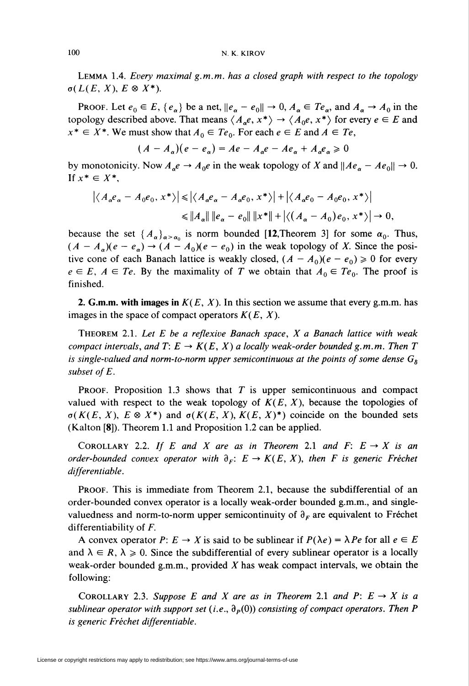Lemma 1.4. Every maximal g.m.m. has a closed graph with respect to the topology  $\sigma(L(E, X), E \otimes X^*)$ .

PROOF. Let  $e_0 \in E$ ,  $\{e_\alpha\}$  be a net,  $\|e_\alpha - e_0\| \to 0$ ,  $A_\alpha \in Te_\alpha$ , and  $A_\alpha \to A_0$  in the topology described above. That means  $\langle A_{\alpha}e, x^* \rangle \rightarrow \langle A_0e, x^* \rangle$  for every  $e \in E$  and  $x^* \in X^*$ . We must show that  $A_0 \in Te_0$ . For each  $e \in E$  and  $A \in Te$ ,

$$
(A - A_{\alpha})(e - e_{\alpha}) = Ae - A_{\alpha}e - Ae_{\alpha} + A_{\alpha}e_{\alpha} \ge 0
$$

by monotonicity. Now  $A_{\alpha}e \rightarrow A_0e$  in the weak topology of X and  $\|Ae_{\alpha} - Ae_0\| \rightarrow 0$ . If  $x^* \in X^*$ ,

$$
\left| \langle A_{\alpha} e_{\alpha} - A_0 e_0, x^* \rangle \right| \leq \left| \langle A_{\alpha} e_{\alpha} - A_{\alpha} e_0, x^* \rangle \right| + \left| \langle A_{\alpha} e_0 - A_0 e_0, x^* \rangle \right|
$$
  

$$
\leq \|A_{\alpha}\| \|e_{\alpha} - e_0\| \|x^*\| + \left| \langle (A_{\alpha} - A_0) e_0, x^* \rangle \right| \to 0,
$$

because the set  $\{A_\alpha\}_{\alpha>\alpha_0}$  is norm bounded [12,Theorem 3] for some  $\alpha_0$ . Thus,  $(A - A_{\alpha})(e - e_{\alpha}) \rightarrow (A - A_0)(e - e_0)$  in the weak topology of X. Since the positive cone of each Banach lattice is weakly closed,  $(A - A_0)(e - e_0) \ge 0$  for every  $e \in E$ ,  $A \in Te$ . By the maximality of T we obtain that  $A_0 \in Te_0$ . The proof is finished.

2. G.m.m. with images in  $K(E, X)$ . In this section we assume that every g.m.m. has images in the space of compact operators  $K(E, X)$ .

THEOREM 2.1. Let  $E$  be a reflexive Banach space,  $X$  a Banach lattice with weak compact intervals, and  $T: E \to K(E, X)$  a locally weak-order bounded g.m.m. Then T is single-valued and norm-to-norm upper semicontinuous at the points of some dense  $G_{\delta}$ subset of E.

PROOF. Proposition 1.3 shows that  $T$  is upper semicontinuous and compact valued with respect to the weak topology of  $K(E, X)$ , because the topologies of  $\sigma(K(E, X), E \otimes X^*)$  and  $\sigma(K(E, X), K(E, X)^*)$  coincide on the bounded sets (Kaiton [8]). Theorem 1.1 and Proposition 1.2 can be applied.

COROLLARY 2.2. If E and X are as in Theorem 2.1 and F:  $E \rightarrow X$  is an order-bounded convex operator with  $\partial_F: E \to K(E, X)$ , then F is generic Fréchet differentiable.

Proof. This is immediate from Theorem 2.1, because the subdifferential of an order-bounded convex operator is a locally weak-order bounded g.m.m., and singlevaluedness and norm-to-norm upper semicontinuity of  $\partial_F$  are equivalent to Fréchet differentiability of  $F$ .

A convex operator  $P: E \to X$  is said to be sublinear if  $P(\lambda e) = \lambda Pe$  for all  $e \in E$ and  $\lambda \in R$ ,  $\lambda \ge 0$ . Since the subdifferential of every sublinear operator is a locally weak-order bounded g.m.m., provided  $X$  has weak compact intervals, we obtain the following:

COROLLARY 2.3. Suppose E and X are as in Theorem 2.1 and P:  $E \to X$  is a sublinear operator with support set (i.e.,  $\partial_p(0)$ ) consisting of compact operators. Then P is generic Fréchet differentiable.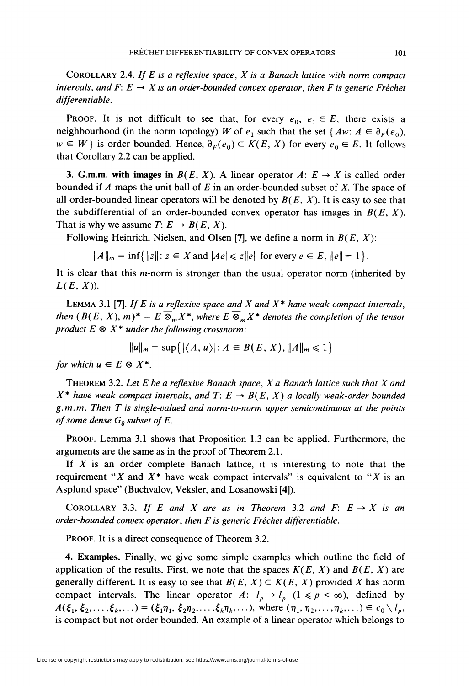COROLLARY 2.4. If E is a reflexive space,  $X$  is a Banach lattice with norm compact intervals, and F:  $E \to X$  is an order-bounded convex operator, then F is generic Fréchet differentiable.

**PROOF.** It is not difficult to see that, for every  $e_0$ ,  $e_1 \in E$ , there exists a neighbourhood (in the norm topology) W of  $e_1$  such that the set {  $Aw: A \in \partial_F(e_0)$ ,  $w \in W$  is order bounded. Hence,  $\partial_F(e_0) \subset K(E, X)$  for every  $e_0 \in E$ . It follows that Corollary 2.2 can be applied.

**3. G.m.m. with images in**  $B(E, X)$ . A linear operator  $A: E \rightarrow X$  is called order bounded if A maps the unit ball of E in an order-bounded subset of X. The space of all order-bounded linear operators will be denoted by  $B(E, X)$ . It is easy to see that the subdifferential of an order-bounded convex operator has images in  $B(E, X)$ . That is why we assume  $T: E \to B(E, X)$ .

Following Heinrich, Nielsen, and Olsen [7], we define a norm in  $B(E, X)$ :

 $\|A\|_{m} = \inf \{||z|| : z \in X \text{ and } |Ae| \leq z||e|| \text{ for every } e \in E, ||e|| = 1\}.$ 

It is clear that this  $m$ -norm is stronger than the usual operator norm (inherited by  $L(E, X)$ ).

**LEMMA** 3.1 [7]. If E is a reflexive space and X and  $X^*$  have weak compact intervals, then  $(B(E, X), m)^* = E \overline{\otimes}_m X^*$ , where  $E \overline{\otimes}_m X^*$  denotes the completion of the tensor product  $E \otimes X^*$  under the following crossnorm:

$$
||u||_m = \sup\{|\langle A, u\rangle|: A \in B(E, X), ||A||_m \leq 1\}
$$

for which  $u \in E \otimes X^*$ .

THEOREM 3.2. Let E be a reflexive Banach space,  $X$  a Banach lattice such that  $X$  and  $X^*$  have weak compact intervals, and T:  $E \to B(E, X)$  a locally weak-order bounded g.m.m. Then T is single-valued and norm-to-norm upper semicontinuous at the points of some dense  $G_{\delta}$  subset of E.

Proof. Lemma 3.1 shows that Proposition 1.3 can be applied. Furthermore, the arguments are the same as in the proof of Theorem 2.1.

If  $X$  is an order complete Banach lattice, it is interesting to note that the requirement "X and  $X^*$  have weak compact intervals" is equivalent to "X is an Asplund space" (Buchvalov, Veksler, and Losanowski [4]).

COROLLARY 3.3. If E and X are as in Theorem 3.2 and F:  $E \rightarrow X$  is an order-bounded convex operator, then F is generic Fréchet differentiable.

PROOF. It is a direct consequence of Theorem 3.2.

4. Examples. Finally, we give some simple examples which outline the field of application of the results. First, we note that the spaces  $K(E, X)$  and  $B(E, X)$  are generally different. It is easy to see that  $B(E, X) \subset K(E, X)$  provided X has norm compact intervals. The linear operator A:  $l_p \rightarrow l_p$  ( $1 \le p \le \infty$ ), defined by  $A(\xi_1, \xi_2,...,\xi_k,...) = (\xi_1\eta_1, \xi_2\eta_2,...,\xi_k\eta_k,...),$  where  $(\eta_1, \eta_2,...,\eta_k,...) \in c_0\setminus l_p$ , is compact but not order bounded. An example of a linear operator which belongs to